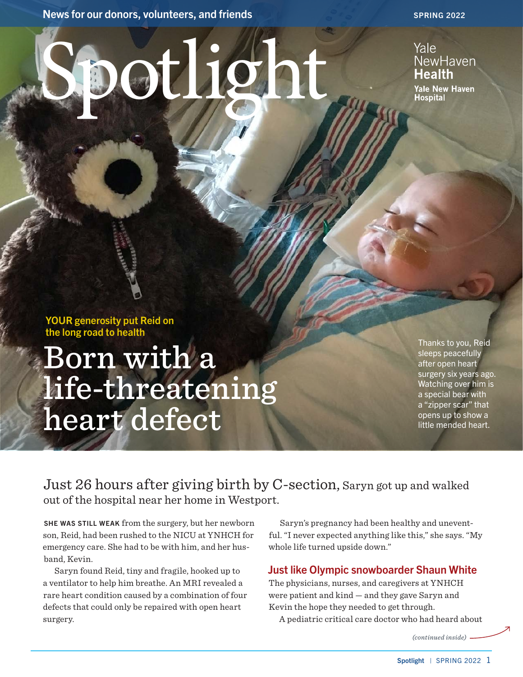News for our donors, volunteers, and friends SPRING 2022

Light de

### Yale NewHaven **Health**

**Yale New Haven Hospital** 

YOUR generosity put Reid on the long road to health

# Born with a life-threatening heart defect

Thanks to you, Reid sleeps peacefully after open heart surgery six years ago. Watching over him is a special bear with a "zipper scar" that opens up to show a little mended heart.

Just 26 hours after giving birth by C-section, Saryn got up and walked out of the hospital near her home in Westport.

SHE WAS STILL WEAK from the surgery, but her newborn son, Reid, had been rushed to the NICU at YNHCH for emergency care. She had to be with him, and her husband, Kevin.

Saryn found Reid, tiny and fragile, hooked up to a ventilator to help him breathe. An MRI revealed a rare heart condition caused by a combination of four defects that could only be repaired with open heart surgery.

Saryn's pregnancy had been healthy and uneventful. "I never expected anything like this," she says. "My whole life turned upside down."

#### Just like Olympic snowboarder Shaun White

The physicians, nurses, and caregivers at YNHCH were patient and kind — and they gave Saryn and Kevin the hope they needed to get through.

A pediatric critical care doctor who had heard about

*(continued inside)*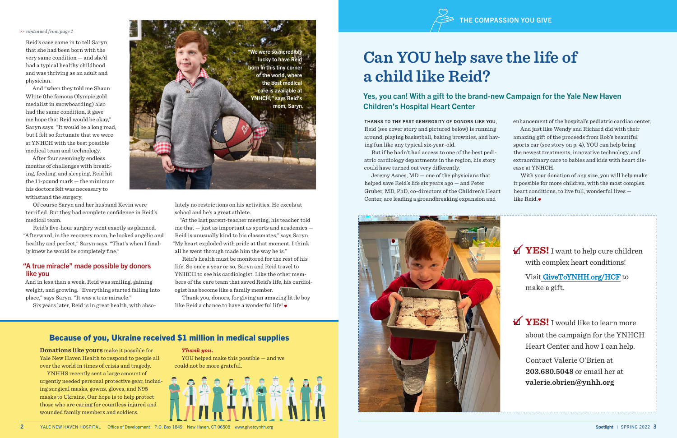Reid's case came in to tell Saryn that she had been born with the very same condition — and she'd had a typical healthy childhood and was thriving as an adult and physician.

And "when they told me Shaun White (the famous Olympic gold medalist in snowboarding) also had the same condition, it gave me hope that Reid would be okay," Saryn says. "It would be a long road, but I felt so fortunate that we were at YNHCH with the best possible medical team and technology.

After four seemingly endless months of challenges with breathing, feeding, and sleeping, Reid hit the 11-pound mark — the minimum his doctors felt was necessary to withstand the surgery.

Of course Saryn and her husband Kevin were terrified. But they had complete confidence in Reid's medical team.

> Thank you, donors, for giving an amazing little boy like Reid a chance to have a wonderful life!

Reid's five-hour surgery went exactly as planned. "Afterward, in the recovery room, he looked angelic and healthy and perfect," Saryn says. "That's when I finally knew he would be completely fine."

#### "A true miracle" made possible by donors like you

And in less than a week, Reid was smiling, gaining weight, and growing. "Everything started falling into place," says Saryn. "It was a true miracle."

Six years later, Reid is in great health, with abso-

lutely no restrictions on his activities. He excels at school and he's a great athlete.

"At the last parent-teacher meeting, his teacher told me that — just as important as sports and academics — Reid is unusually kind to his classmates," says Saryn. "My heart exploded with pride at that moment. I think all he went through made him the way he is."

Reid's health must be monitored for the rest of his life. So once a year or so, Saryn and Reid travel to YNHCH to see his cardiologist. Like the other members of the care team that saved Reid's life, his cardiologist has become like a family member.

**YES!** I want to help cure children with complex heart conditions!

#### *>> continued from page 1*

 $\blacktriangledown$ **YES!** I would like to learn more about the campaign for the YNHCH Heart Center and how I can help.

#### Because of you, Ukraine received \$1 million in medical supplies

**Donations like yours** make it possible for Yale New Haven Health to respond to people all over the world in times of crisis and tragedy.

YNHHS recently sent a large amount of urgently needed personal protective gear, including surgical masks, gowns, gloves, and N95 masks to Ukraine. Our hope is to help protect those who are caring for countless injured and wounded family members and soldiers.

#### *Thank you.*

YOU helped make this possible — and we could not be more grateful.





THANKS TO THE PAST GENEROSITY OF DONORS LIKE YOU, Reid (see cover story and pictured below) is running around, playing basketball, baking brownies, and having fun like any typical six-year-old.

But if he hadn't had access to one of the best pediatric cardiology departments in the region, his story could have turned out very differently.

Jeremy Asnes, MD — one of the physicians that helped save Reid's life six years ago — and Peter Gruber, MD, PhD, co-directors of the Children's Heart Center, are leading a groundbreaking expansion and



2 YALE NEW HAVEN HOSPITAL Office of Development P.O. Box 1849 New Haven, CT 06508 www.givetoynhh.org Spotlight | SPRING 2022 3

enhancement of the hospital's pediatric cardiac center. And just like Wendy and Richard did with their amazing gift of the proceeds from Rob's beautiful sports car (see story on p. 4), YOU can help bring the newest treatments, innovative technology, and extraordinary care to babies and kids with heart disease at YNHCH.

With your donation of any size, you will help make it possible for more children, with the most complex heart conditions, to live full, wonderful lives like Reid.

## **Can YOU help save the life of a child like Reid?**

#### Yes, you can! With a gift to the brand-new Campaign for the Yale New Haven Children's Hospital Heart Center

Visit [GiveToYNHH.org/HCF](https://www.givetoynhh.org/hcf) to make a gift.

Contact Valerie O'Brien at **203.680.5048** or email her at **valerie.obrien@ynhh.org**